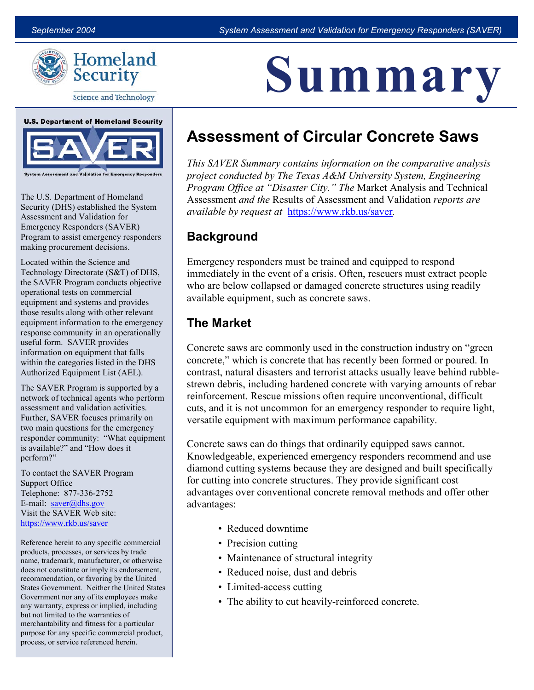<u>A III III A I</u>

Summary



**Science and Technology** 



 The U.S. Department of Homeland Security (DHS) established the System Assessment and Validation for Emergency Responders (SAVER) Program to assist emergency responders making procurement decisions.

 Located within the Science and Technology Directorate (S&T) of DHS, the SAVER Program conducts objective operational tests on commercial equipment and systems and provides those results along with other relevant equipment information to the emergency response community in an operationally useful form. SAVER provides information on equipment that falls within the categories listed in the DHS Authorized Equipment List (AEL).

 The SAVER Program is supported by a network of technical agents who perform assessment and validation activities. Further, SAVER focuses primarily on two main questions for the emergency responder community: "What equipment is available?" and "How does it perform?"

To contact the SAVER Program Support Office Telephone: 877-336-2752 E-mail:  $saver@dhs.gov$ Visit the SAVER Web site: https://www.rkb.us/saver

Reference herein to any specific commercial products, processes, or services by trade name, trademark, manufacturer, or otherwise does not constitute or imply its endorsement, recommendation, or favoring by the United States Government. Neither the United States Government nor any of its employees make any warranty, express or implied, including but not limited to the warranties of merchantability and fitness for a particular purpose for any specific commercial product, process, or service referenced herein.

# Assessment of Circular Concrete Saws

This SAVER Summary contains information on the comparative analysis project conducted by The Texas A&M University System, Engineering Program Office at "Disaster City." The Market Analysis and Technical Assessment and the Results of Assessment and Validation reports are available by request at https://www.rkb.us/saver.

### **Background**

 who are below collapsed or damaged concrete structures using readily Emergency responders must be trained and equipped to respond immediately in the event of a crisis. Often, rescuers must extract people available equipment, such as concrete saws.

### The Market

 Concrete saws are commonly used in the construction industry on "green strewn debris, including hardened concrete with varying amounts of rebar concrete," which is concrete that has recently been formed or poured. In contrast, natural disasters and terrorist attacks usually leave behind rubblereinforcement. Rescue missions often require unconventional, difficult cuts, and it is not uncommon for an emergency responder to require light, versatile equipment with maximum performance capability.

 for cutting into concrete structures. They provide significant cost advantages: Concrete saws can do things that ordinarily equipped saws cannot. Knowledgeable, experienced emergency responders recommend and use diamond cutting systems because they are designed and built specifically advantages over conventional concrete removal methods and offer other

- Reduced downtime
- Precision cutting
- Maintenance of structural integrity
- Reduced noise, dust and debris
- Limited-access cutting
- The ability to cut heavily-reinforced concrete.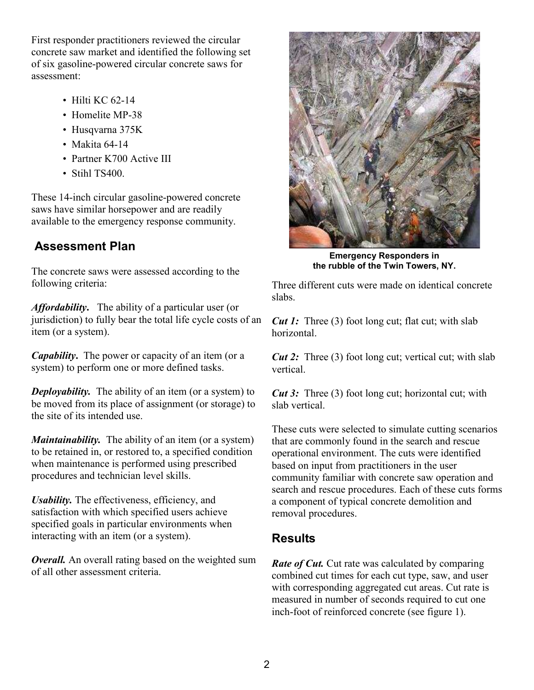First responder practitioners reviewed the circular of six gasoline-powered circular concrete saws for concrete saw market and identified the following set assessment:

- $\cdot$  Hilti KC 62-14
- Homelite MP-38
- Husqvarna 375K
- Makita  $64-14$
- Partner K700 Active III
- Stihl TS400

These 14-inch circular gasoline-powered concrete saws have similar horsepower and are readily available to the emergency response community.

## Assessment Plan

The concrete saws were assessed according to the following criteria:

Affordability. The ability of a particular user (or jurisdiction) to fully bear the total life cycle costs of an item (or a system).

**Capability.** The power or capacity of an item (or a system) to perform one or more defined tasks.

**Deployability.** The ability of an item (or a system) to be moved from its place of assignment (or storage) to the site of its intended use.

**Maintainability.** The ability of an item (or a system) to be retained in, or restored to, a specified condition when maintenance is performed using prescribed procedures and technician level skills.

Usability. The effectiveness, efficiency, and satisfaction with which specified users achieve specified goals in particular environments when interacting with an item (or a system).

**Overall.** An overall rating based on the weighted sum of all other assessment criteria.



 Emergency Responders in the rubble of the Twin Towers, NY.

Three different cuts were made on identical concrete slabs.

**Cut 1:** Three (3) foot long cut; flat cut; with slab horizontal.

**Cut 2:** Three (3) foot long cut; vertical cut; with slab vertical.

**Cut 3:** Three (3) foot long cut; horizontal cut; with slab vertical.

 that are commonly found in the search and rescue search and rescue procedures. Each of these cuts forms These cuts were selected to simulate cutting scenarios operational environment. The cuts were identified based on input from practitioners in the user community familiar with concrete saw operation and a component of typical concrete demolition and removal procedures.

### **Results**

**Rate of Cut.** Cut rate was calculated by comparing inch-foot of reinforced concrete (see figure 1). combined cut times for each cut type, saw, and user with corresponding aggregated cut areas. Cut rate is measured in number of seconds required to cut one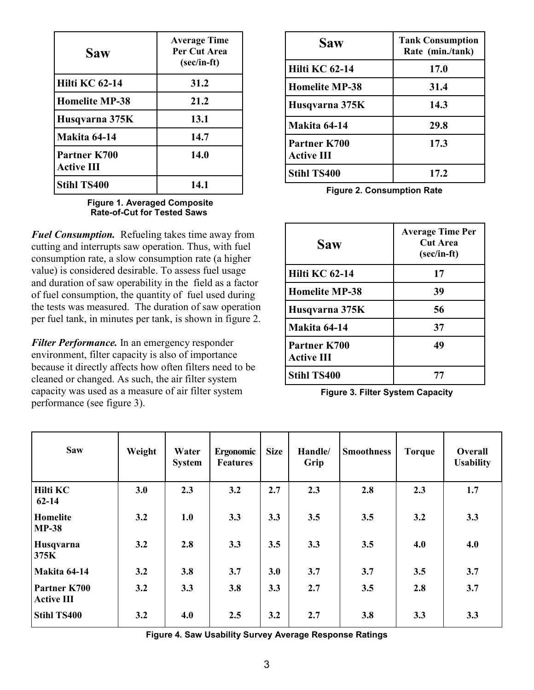| Saw                               | <b>Average Time</b><br>Per Cut Area<br>$(\sec/in-ft)$ |  |  |  |  |
|-----------------------------------|-------------------------------------------------------|--|--|--|--|
| <b>Hilti KC 62-14</b>             | 31.2                                                  |  |  |  |  |
| <b>Homelite MP-38</b>             | 21.2                                                  |  |  |  |  |
| Husqvarna 375K                    | 13.1                                                  |  |  |  |  |
| Makita 64-14                      | 14.7                                                  |  |  |  |  |
| Partner K700<br><b>Active III</b> | 14.0                                                  |  |  |  |  |
| <b>Stihl TS400</b>                | 14.1                                                  |  |  |  |  |

 Figure 1. Averaged Composite Rate-of-Cut for Tested Saws

Fuel Consumption. Refueling takes time away from and duration of saw operability in the field as a factor cutting and interrupts saw operation. Thus, with fuel consumption rate, a slow consumption rate (a higher value) is considered desirable. To assess fuel usage of fuel consumption, the quantity of fuel used during the tests was measured. The duration of saw operation per fuel tank, in minutes per tank, is shown in figure 2.

 because it directly affects how often filters need to be performance (see figure 3). **Filter Performance.** In an emergency responder environment, filter capacity is also of importance cleaned or changed. As such, the air filter system capacity was used as a measure of air filter system

| <b>Saw</b>                        | <b>Tank Consumption</b><br>Rate (min./tank) |
|-----------------------------------|---------------------------------------------|
| <b>Hilti KC 62-14</b>             | 17.0                                        |
| <b>Homelite MP-38</b>             | 31.4                                        |
| Husqvarna 375K                    | 14.3                                        |
| <b>Makita 64-14</b>               | 29.8                                        |
| Partner K700<br><b>Active III</b> | 17.3                                        |
| <b>Stihl TS400</b>                | 17.2                                        |

Figure 2. Consumption Rate

| <b>Saw</b>                        | <b>Average Time Per</b><br><b>Cut Area</b><br>$(\sec/in-ft)$ |
|-----------------------------------|--------------------------------------------------------------|
| <b>Hilti KC 62-14</b>             | 17                                                           |
| <b>Homelite MP-38</b>             | 39                                                           |
| Husqvarna 375K                    | 56                                                           |
| <b>Makita 64-14</b>               | 37                                                           |
| Partner K700<br><b>Active III</b> | 49                                                           |
| <b>Stihl TS400</b>                | 77                                                           |

Figure 3. Filter System Capacity

| <b>Saw</b>                        | Weight | Water<br><b>System</b> | <b>Ergonomic</b><br><b>Features</b> | <b>Size</b> | Handle/<br>Grip | <b>Smoothness</b> | <b>Torque</b> | Overall<br><b>Usability</b> |
|-----------------------------------|--------|------------------------|-------------------------------------|-------------|-----------------|-------------------|---------------|-----------------------------|
| <b>Hilti KC</b><br>$62 - 14$      | 3.0    | 2.3                    | 3.2                                 | 2.7         | 2.3             | 2.8               | 2.3           | 1.7                         |
| Homelite<br><b>MP-38</b>          | 3.2    | 1.0                    | 3.3                                 | 3.3         | 3.5             | 3.5               | 3.2           | 3.3                         |
| Husqvarna<br>375K                 | 3.2    | 2.8                    | 3.3                                 | 3.5         | 3.3             | 3.5               | 4.0           | 4.0                         |
| <b>Makita 64-14</b>               | 3.2    | 3.8                    | 3.7                                 | 3.0         | 3.7             | 3.7               | 3.5           | 3.7                         |
| Partner K700<br><b>Active III</b> | 3.2    | 3.3                    | 3.8                                 | 3.3         | 2.7             | 3.5               | 2.8           | 3.7                         |
| <b>Stihl TS400</b>                | 3.2    | 4.0                    | 2.5                                 | 3.2         | 2.7             | 3.8               | 3.3           | 3.3                         |

Figure 4. Saw Usability Survey Average Response Ratings